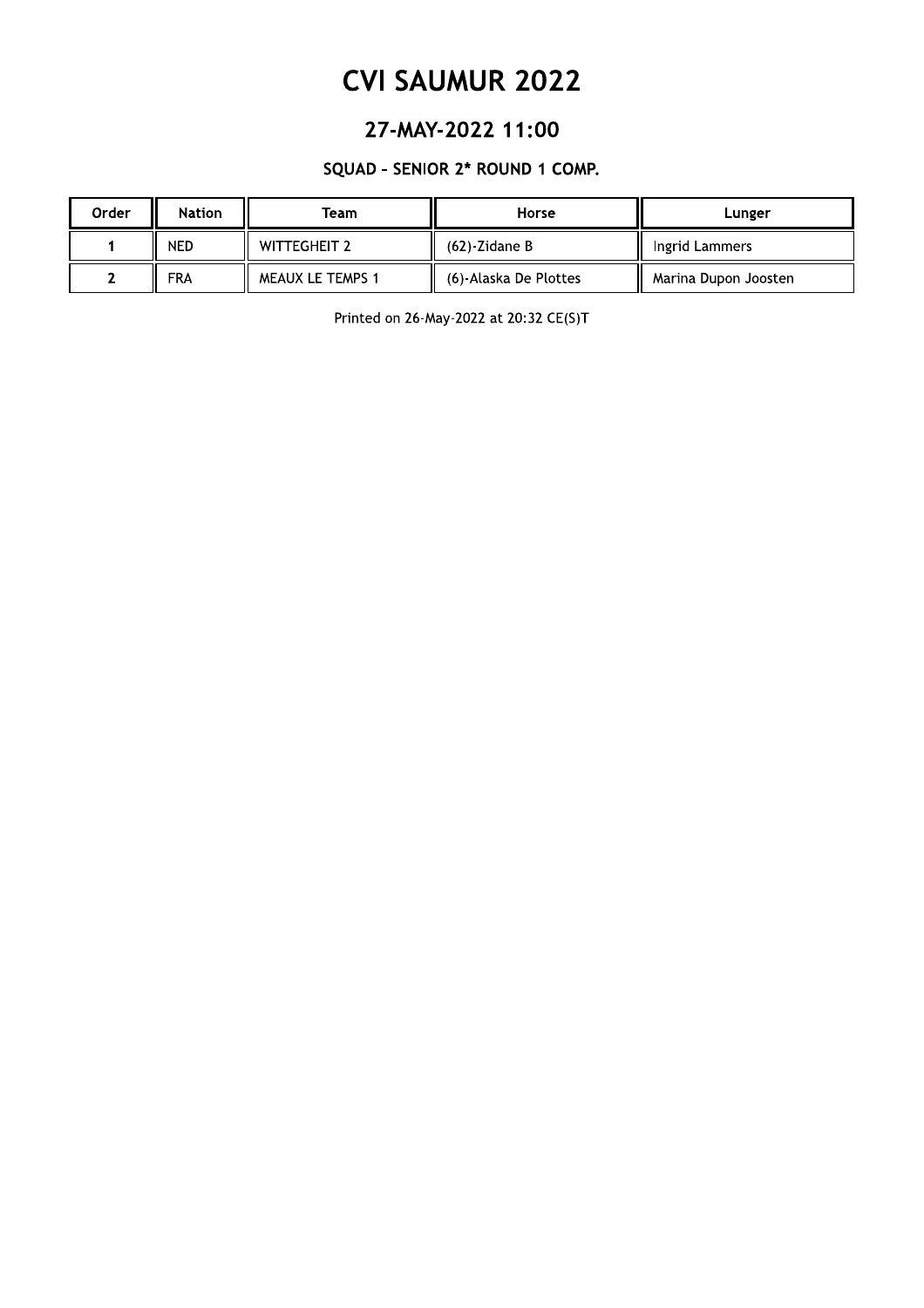### 27-MAY-2022 11:00

### SQUAD - SENIOR 2\* ROUND 1 COMP.

| Order | <b>Nation</b> | Team                | Horse                 | Lunger               |
|-------|---------------|---------------------|-----------------------|----------------------|
|       | <b>NED</b>    | <b>WITTEGHEIT 2</b> | $(62)$ -Zidane B      | Ingrid Lammers       |
|       | <b>FRA</b>    | MEAUX LE TEMPS 1    | (6)-Alaska De Plottes | Marina Dupon Joosten |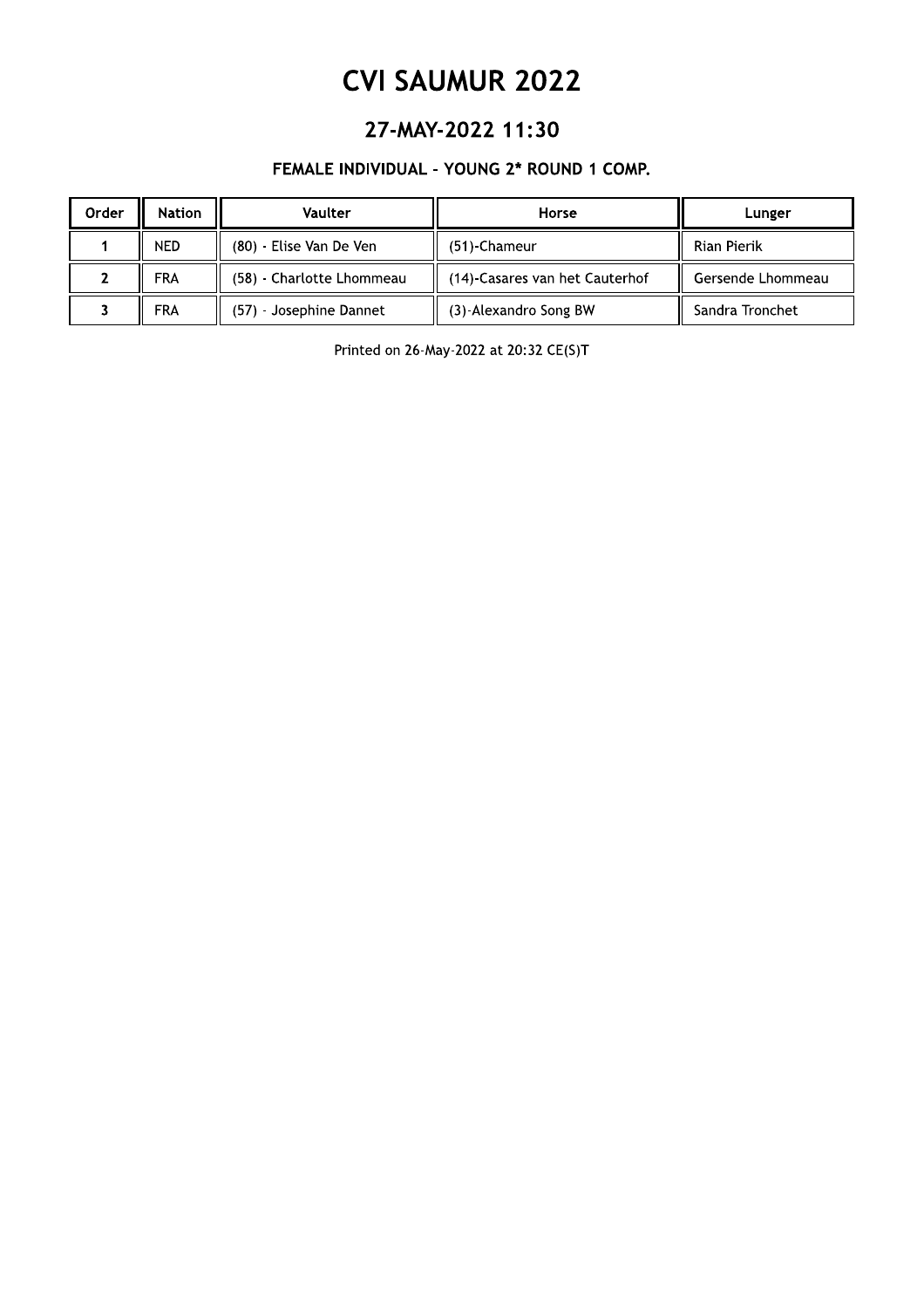### 27-MAY-2022 11:30

### FEMALE INDIVIDUAL - YOUNG 2\* ROUND 1 COMP.

| Order | <b>Nation</b> | Vaulter                   | Horse                          | Lunger            |
|-------|---------------|---------------------------|--------------------------------|-------------------|
|       | <b>NED</b>    | (80) - Elise Van De Ven   | (51)-Chameur                   | Rian Pierik       |
|       | FRA           | (58) - Charlotte Lhommeau | (14)-Casares van het Cauterhof | Gersende Lhommeau |
|       | <b>FRA</b>    | (57) - Josephine Dannet   | (3)-Alexandro Song BW          | Sandra Tronchet   |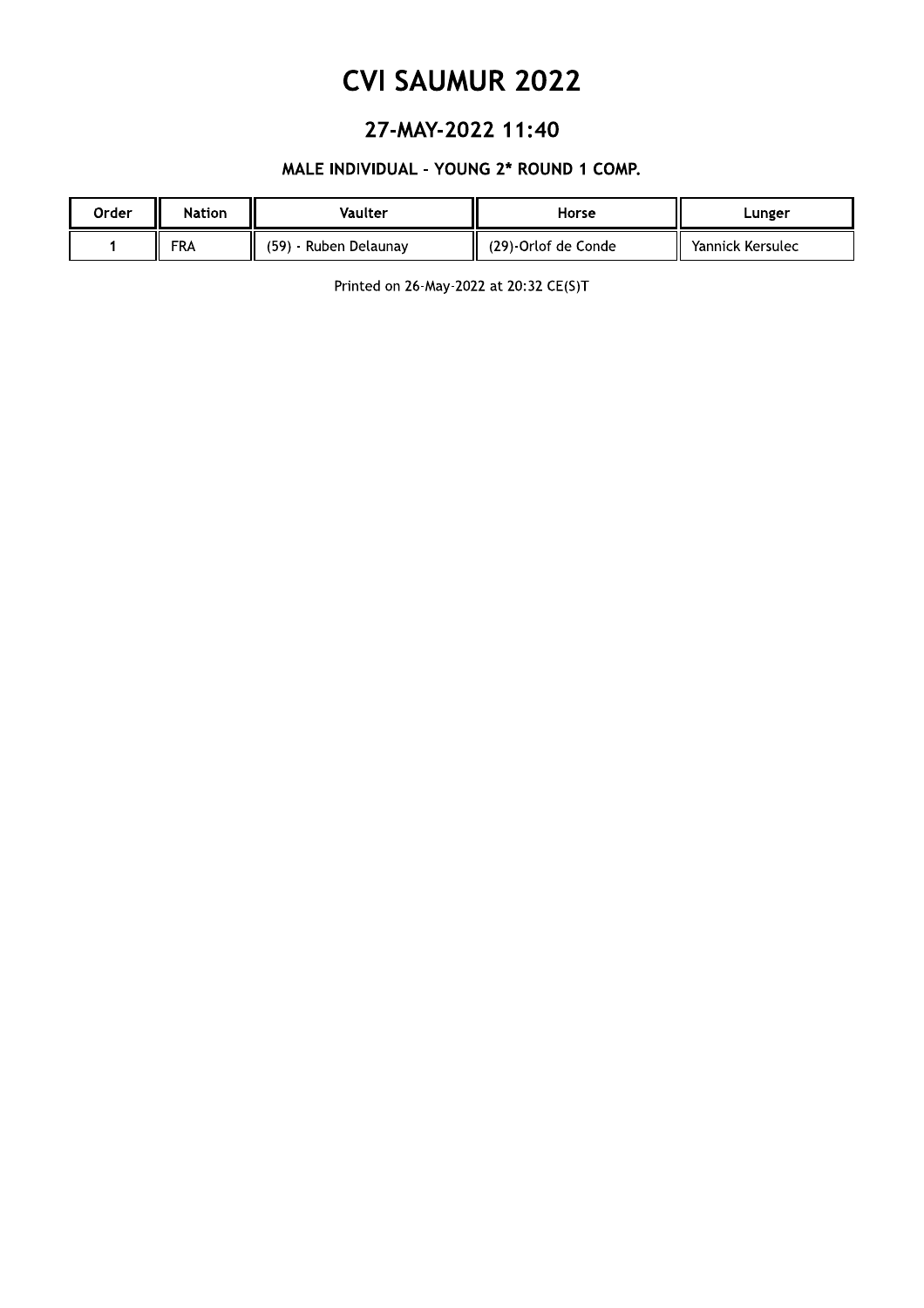## 27-MAY-2022 11:40

### MALE INDIVIDUAL - YOUNG 2\* ROUND 1 COMP.

| Order | <b>Nation</b> | Vaulter                    | Horse               | Lunger           |
|-------|---------------|----------------------------|---------------------|------------------|
|       | FRA           | (59)<br>ı - Ruben Delaunay | (29)-Orlof de Conde | Yannick Kersulec |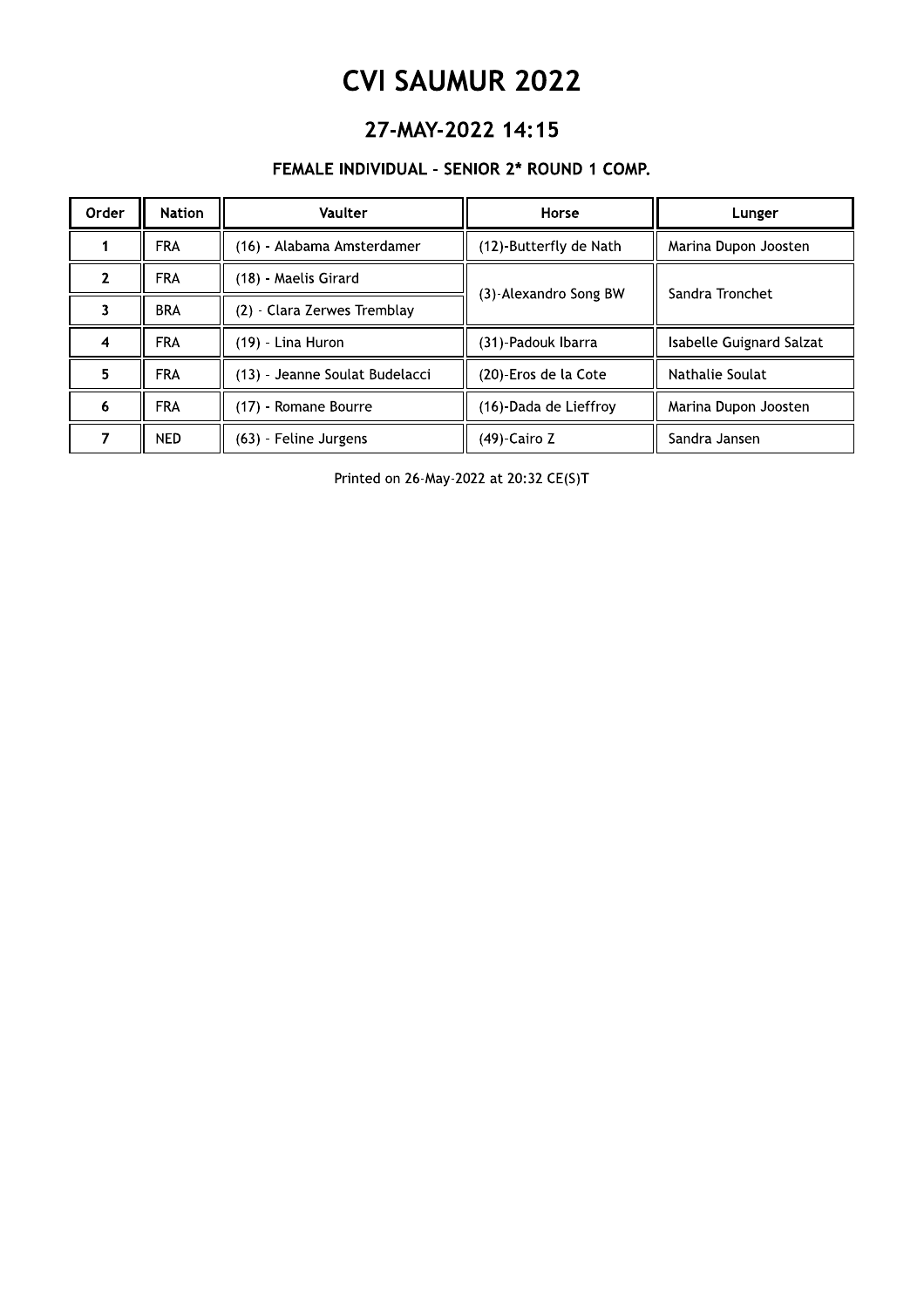## 27-MAY-2022 14:15

### FEMALE INDIVIDUAL - SENIOR 2\* ROUND 1 COMP.

| Order | <b>Nation</b> | <b>Vaulter</b>                 | Horse                  | Lunger                   |
|-------|---------------|--------------------------------|------------------------|--------------------------|
|       | <b>FRA</b>    | (16) - Alabama Amsterdamer     | (12)-Butterfly de Nath | Marina Dupon Joosten     |
|       | <b>FRA</b>    | (18) - Maelis Girard           | (3)-Alexandro Song BW  | Sandra Tronchet          |
|       | <b>BRA</b>    | (2) - Clara Zerwes Tremblay    |                        |                          |
| 4     | <b>FRA</b>    | (19) - Lina Huron              | (31)-Padouk Ibarra     | Isabelle Guignard Salzat |
| 5     | <b>FRA</b>    | (13) - Jeanne Soulat Budelacci | (20)-Eros de la Cote   | Nathalie Soulat          |
| 6     | <b>FRA</b>    | (17) - Romane Bourre           | (16)-Dada de Lieffroy  | Marina Dupon Joosten     |
|       | NED.          | (63) - Feline Jurgens          | (49)-Cairo Z           | Sandra Jansen            |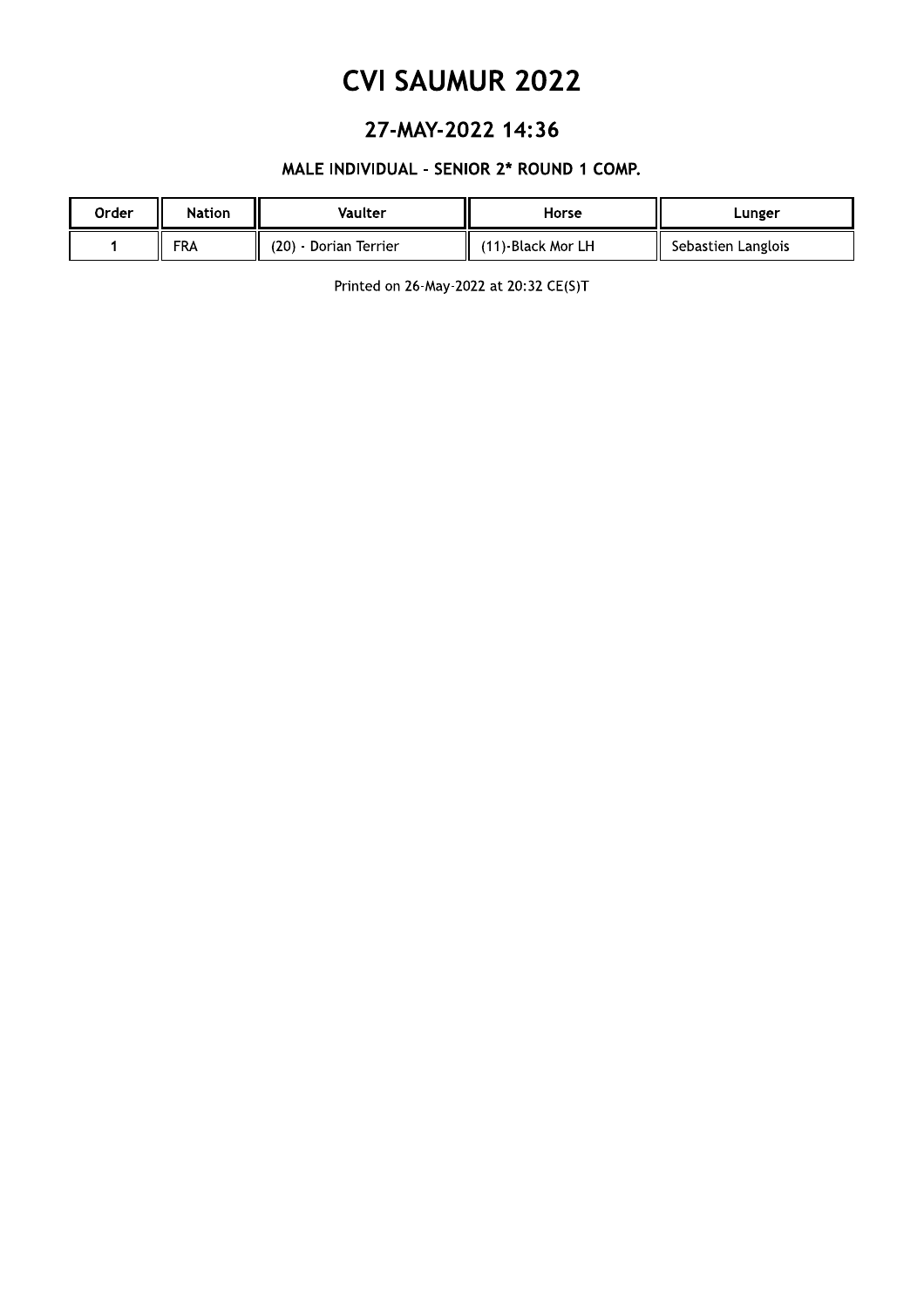## 27-MAY-2022 14:36

### MALE INDIVIDUAL - SENIOR 2\* ROUND 1 COMP.

| Order | Nation     | Vaulter               | Horse             | Lunger             |
|-------|------------|-----------------------|-------------------|--------------------|
|       | <b>FRA</b> | (20) - Dorian Terrier | (11)-Black Mor LH | Sebastien Langlois |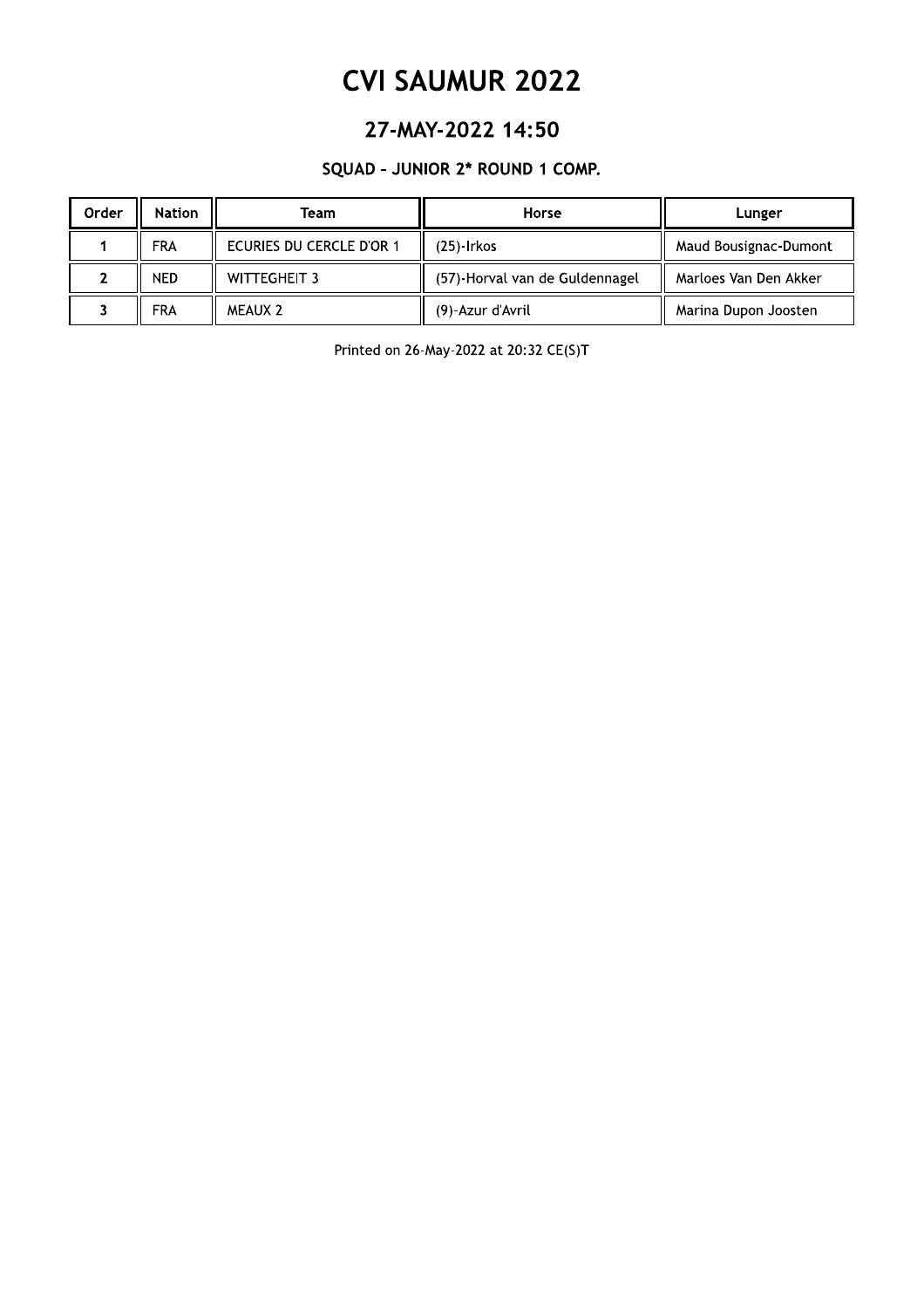## 27-MAY-2022 14:50

### SQUAD - JUNIOR 2\* ROUND 1 COMP.

| Order | <b>Nation</b> | Team                     | Horse                          | Lunger                |
|-------|---------------|--------------------------|--------------------------------|-----------------------|
|       | <b>FRA</b>    | ECURIES DU CERCLE D'OR 1 | (25)-Irkos                     | Maud Bousignac-Dumont |
|       | <b>NED</b>    | WITTEGHEIT 3             | (57)-Horval van de Guldennagel | Marloes Van Den Akker |
|       | <b>FRA</b>    | MEAUX 2                  | (9)-Azur d'Avril               | Marina Dupon Joosten  |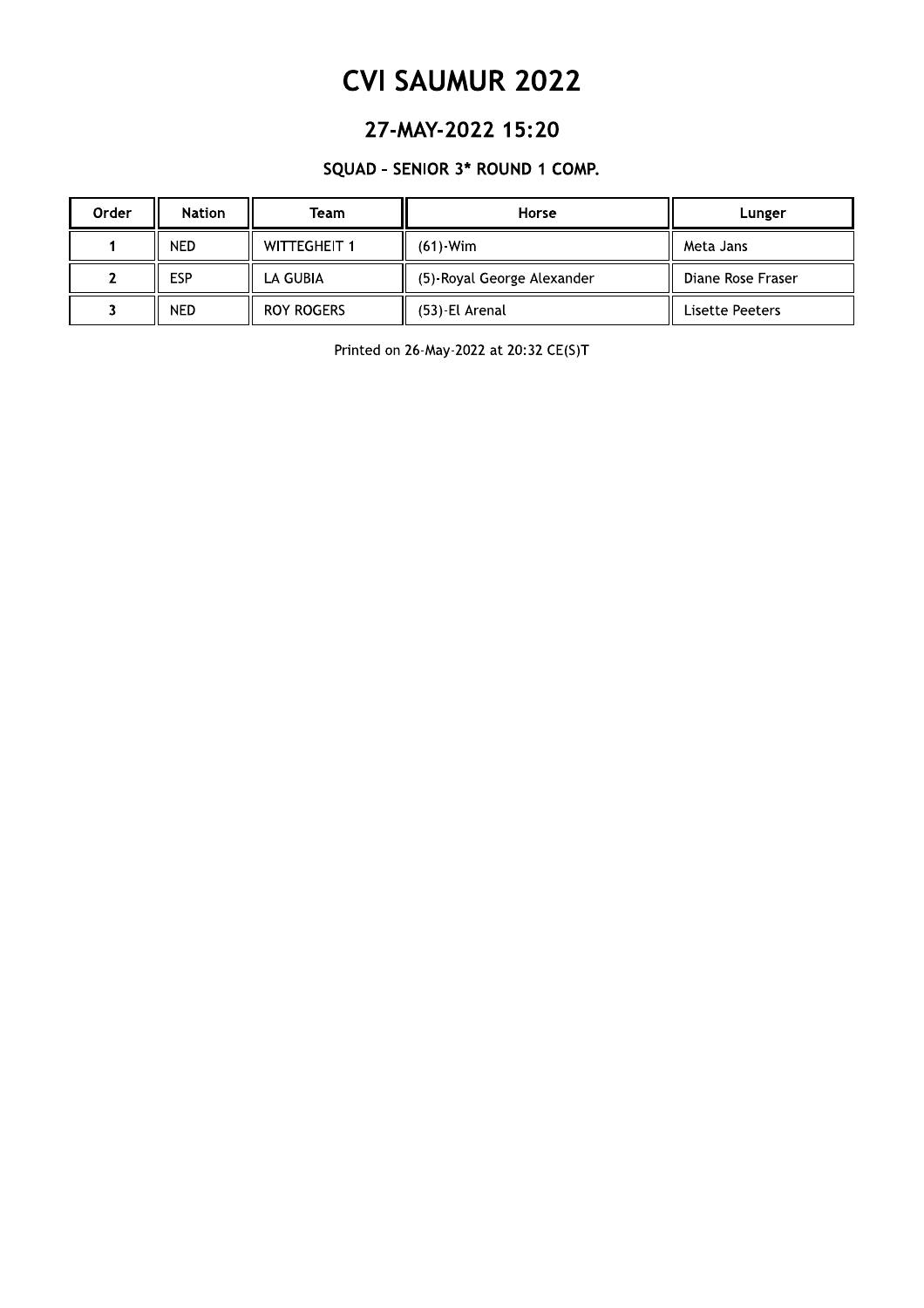### 27-MAY-2022 15:20

### SQUAD - SENIOR 3\* ROUND 1 COMP.

| Order | <b>Nation</b> | Team                | Horse                      | Lunger            |
|-------|---------------|---------------------|----------------------------|-------------------|
|       | <b>NED</b>    | <b>WITTEGHEIT 1</b> | $(61)$ -Wim                | Meta Jans         |
|       | <b>ESP</b>    | LA GUBIA            | (5)-Royal George Alexander | Diane Rose Fraser |
|       | <b>NED</b>    | <b>ROY ROGERS</b>   | (53) El Arenal             | Lisette Peeters   |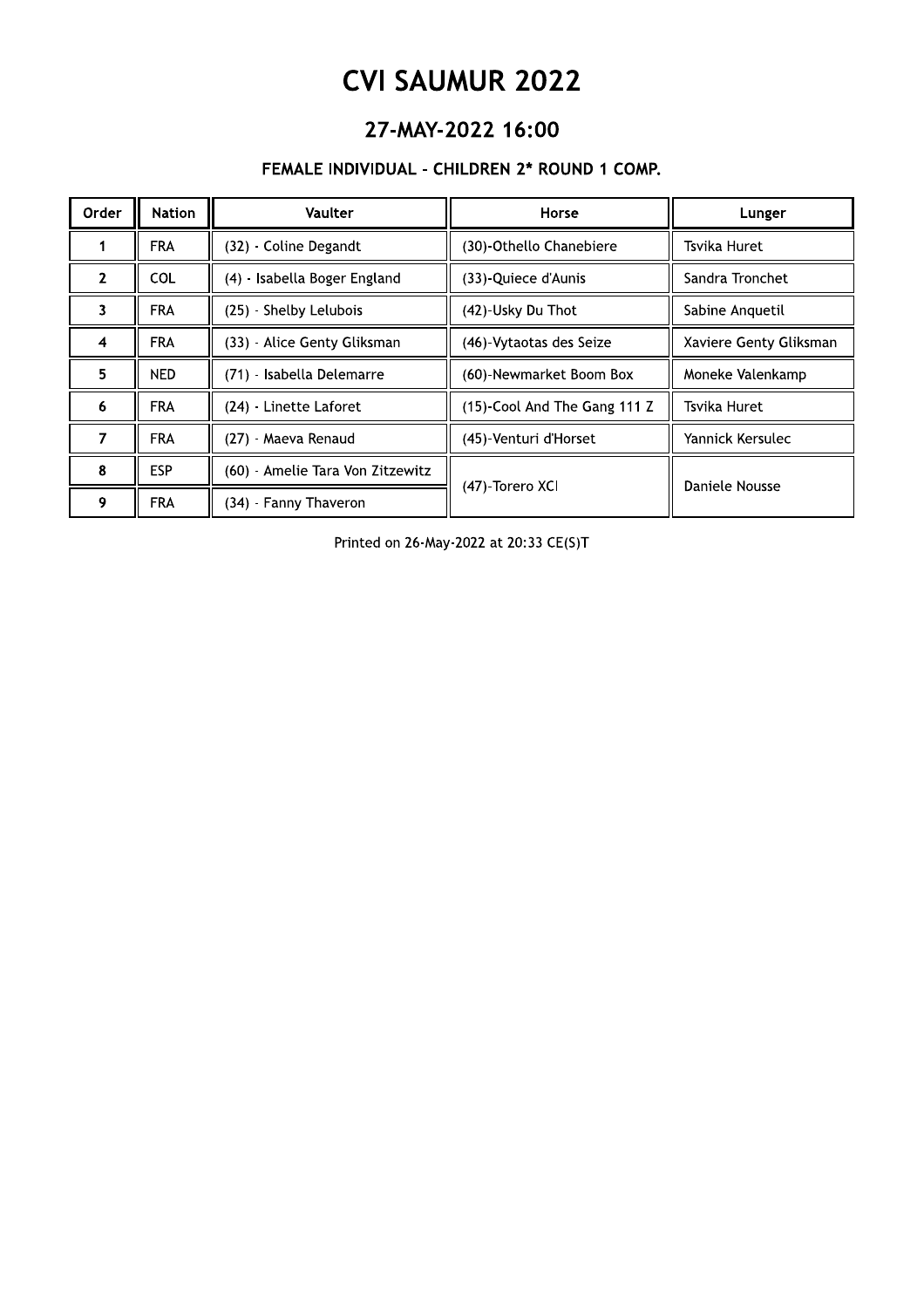# CVI SAUMUR ZUZZ

## Z7-MAY-Z0ZZ 16:00

### FEMALE INDIVIDUAL - CHILI

| <b>CVI SAUMUR 2022</b> |                                               |                                  |                              |                        |  |  |  |
|------------------------|-----------------------------------------------|----------------------------------|------------------------------|------------------------|--|--|--|
|                        | 27-MAY-2022 16:00                             |                                  |                              |                        |  |  |  |
|                        | FEMALE INDIVIDUAL - CHILDREN 2* ROUND 1 COMP. |                                  |                              |                        |  |  |  |
| Order                  | <b>Nation</b>                                 | <b>Vaulter</b>                   | Horse                        | Lunger                 |  |  |  |
| 1                      | <b>FRA</b>                                    | (32) - Coline Degandt            | (30)-Othello Chanebiere      | Tsvika Huret           |  |  |  |
| $\overline{2}$         | <b>COL</b>                                    | (4) - Isabella Boger England     | (33) Quiece d'Aunis          | Sandra Tronchet        |  |  |  |
| 3                      | <b>FRA</b>                                    | (25) - Shelby Lelubois           | (42)-Usky Du Thot            | Sabine Anquetil        |  |  |  |
| $\overline{4}$         | <b>FRA</b>                                    | (33) - Alice Genty Gliksman      | (46) Vytaotas des Seize      | Xaviere Genty Gliksman |  |  |  |
| 5.                     | <b>NED</b>                                    | (71) - Isabella Delemarre        | (60)-Newmarket Boom Box      | Moneke Valenkamp       |  |  |  |
| 6                      | <b>FRA</b>                                    | (24) - Linette Laforet           | (15)-Cool And The Gang 111 Z | Tsvika Huret           |  |  |  |
| $\overline{7}$         | <b>FRA</b>                                    | (27) - Maeva Renaud              | (45)-Venturi d'Horset        | Yannick Kersulec       |  |  |  |
| 8                      | <b>ESP</b>                                    | (60) - Amelie Tara Von Zitzewitz | (47) Torero XCI              | Daniele Nousse         |  |  |  |
| 9                      | <b>FRA</b>                                    | (34) - Fanny Thaveron            |                              |                        |  |  |  |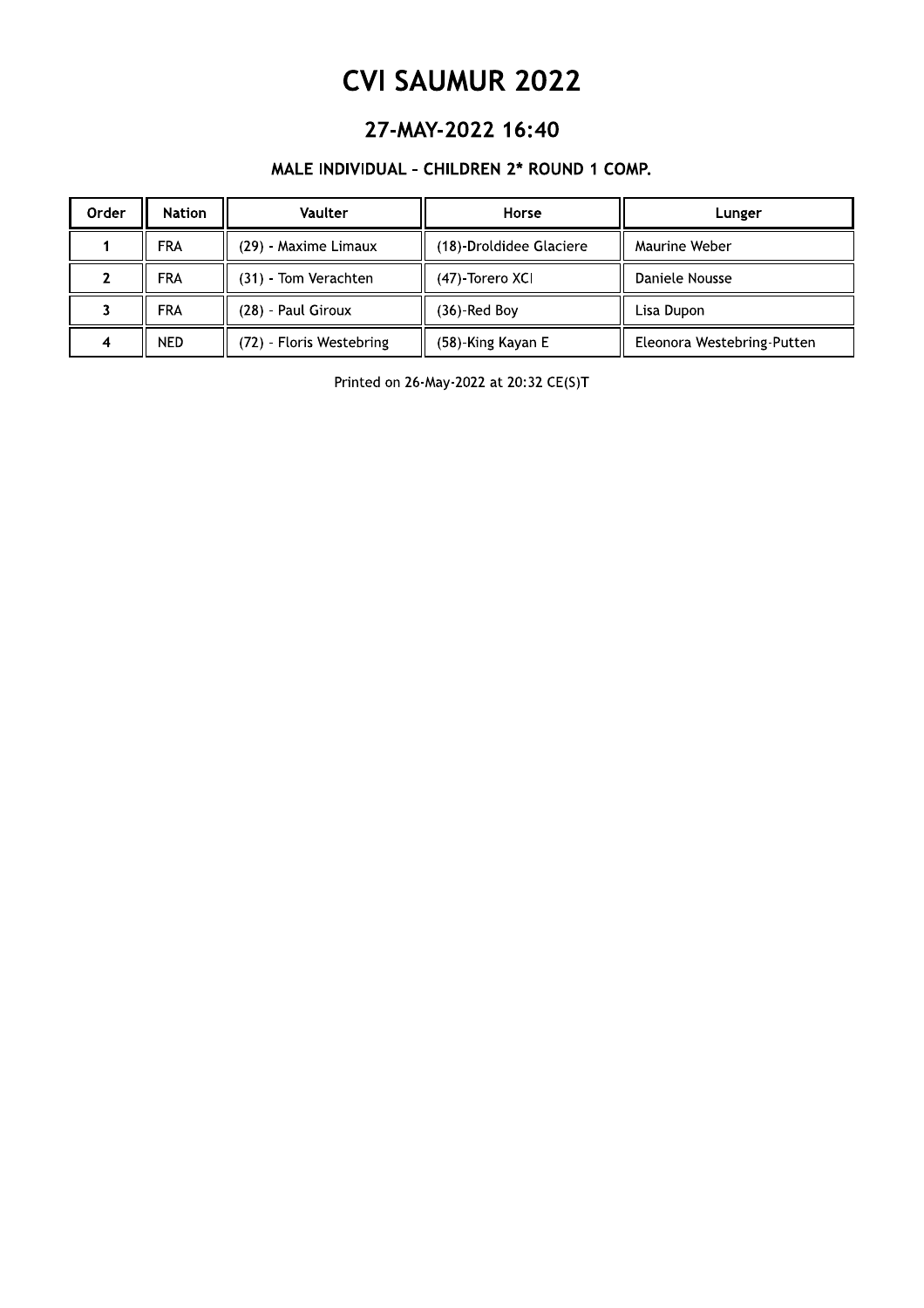### 27-MAY-2022 16:40

### MALE INDIVIDUAL - CHILDREN 2\* ROUND 1 COMP.

| Order | <b>Nation</b> | <b>Vaulter</b>           | Horse                   | Lunger                     |
|-------|---------------|--------------------------|-------------------------|----------------------------|
|       | <b>FRA</b>    | (29) - Maxime Limaux     | (18)-Droldidee Glaciere | Maurine Weber              |
|       | FRA           | (31) Tom Verachten       | (47)-Torero XCI         | Daniele Nousse             |
|       | <b>FRA</b>    | (28) Paul Giroux         | (36)-Red Boy            | Lisa Dupon                 |
|       | <b>NED</b>    | (72) - Floris Westebring | (58)-King Kayan E       | Eleonora Westebring-Putten |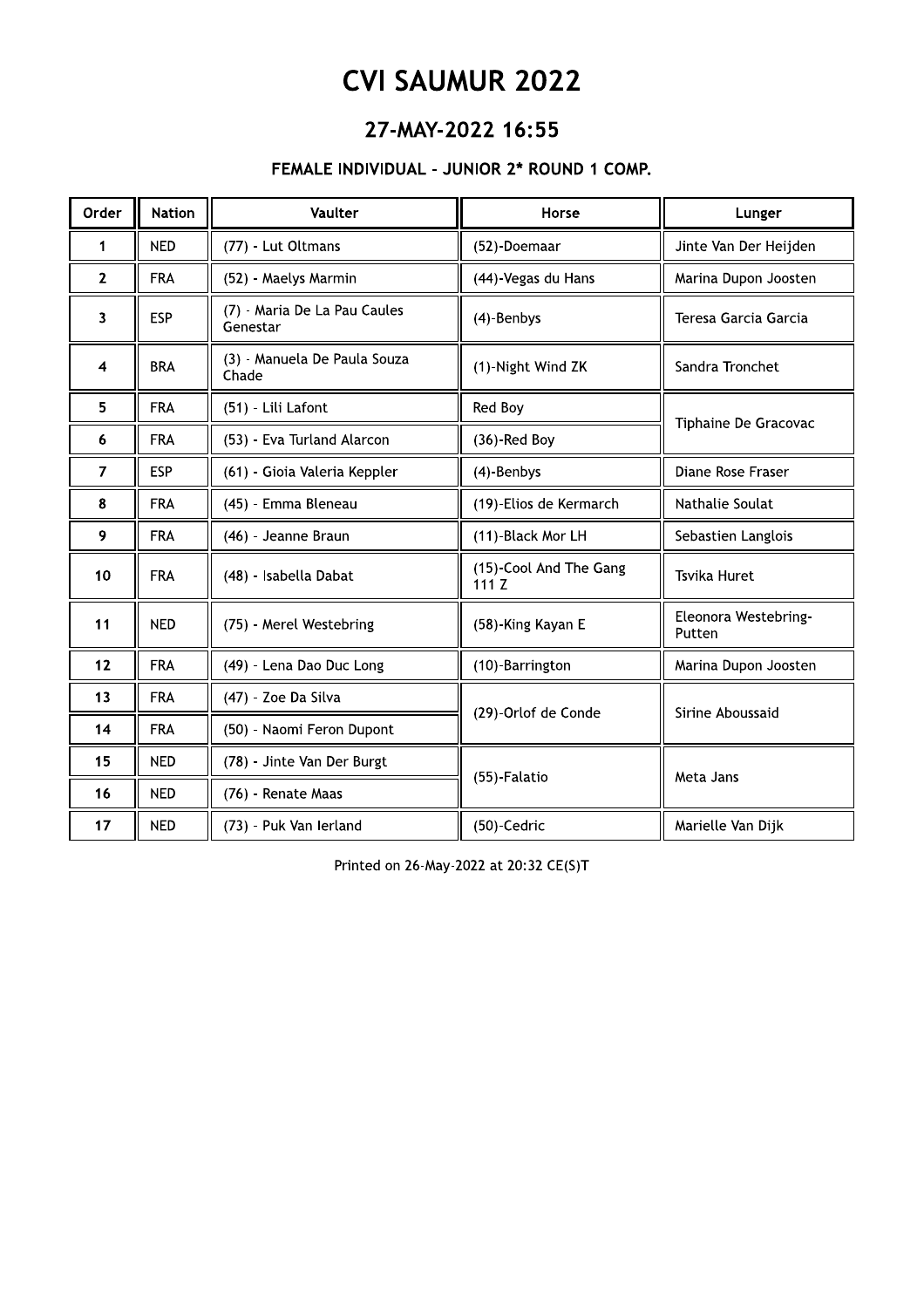## 27-MAY-2022 16:55

### FEMALE INDIVIDUAL - JUNIOR 2\* ROUND 1 COMP.

| Order        | <b>Nation</b> | Vaulter                                  | Horse                          | Lunger                         |
|--------------|---------------|------------------------------------------|--------------------------------|--------------------------------|
| 1            | <b>NED</b>    | (77) - Lut Oltmans                       | (52)-Doemaar                   | Jinte Van Der Heijden          |
| $\mathbf{2}$ | <b>FRA</b>    | (52) - Maelys Marmin                     | (44)-Vegas du Hans             | Marina Dupon Joosten           |
| 3            | <b>ESP</b>    | (7) - Maria De La Pau Caules<br>Genestar | (4)-Benbys                     | Teresa Garcia Garcia           |
| 4            | <b>BRA</b>    | (3) - Manuela De Paula Souza<br>Chade    | (1)-Night Wind ZK              | Sandra Tronchet                |
| 5            | <b>FRA</b>    | (51) - Lili Lafont                       | Red Boy                        | Tiphaine De Gracovac           |
| 6            | <b>FRA</b>    | (53) - Eva Turland Alarcon               | $(36)$ -Red Boy                |                                |
| 7            | <b>ESP</b>    | (61) - Gioia Valeria Keppler             | (4)-Benbys                     | Diane Rose Fraser              |
| 8            | <b>FRA</b>    | (45) - Emma Bleneau                      | (19)-Elios de Kermarch         | Nathalie Soulat                |
| 9            | <b>FRA</b>    | (46) - Jeanne Braun                      | (11)-Black Mor LH              | Sebastien Langlois             |
| 10           | <b>FRA</b>    | (48) - Isabella Dabat                    | (15)-Cool And The Gang<br>111Z | <b>Tsvika Huret</b>            |
| 11           | <b>NED</b>    | (75) - Merel Westebring                  | (58)-King Kayan E              | Eleonora Westebring-<br>Putten |
| 12           | <b>FRA</b>    | (49) - Lena Dao Duc Long                 | (10)-Barrington                | Marina Dupon Joosten           |
| 13           | <b>FRA</b>    | (47) - Zoe Da Silva                      | (29)-Orlof de Conde            | Sirine Aboussaid               |
| 14           | <b>FRA</b>    | (50) - Naomi Feron Dupont                |                                |                                |
| 15           | <b>NED</b>    | (78) - Jinte Van Der Burgt               |                                | Meta Jans                      |
| 16           | <b>NED</b>    | (76) - Renate Maas                       | (55)-Falatio                   |                                |
| 17           | <b>NED</b>    | (73) - Puk Van Ierland                   | (50)-Cedric                    | Marielle Van Dijk              |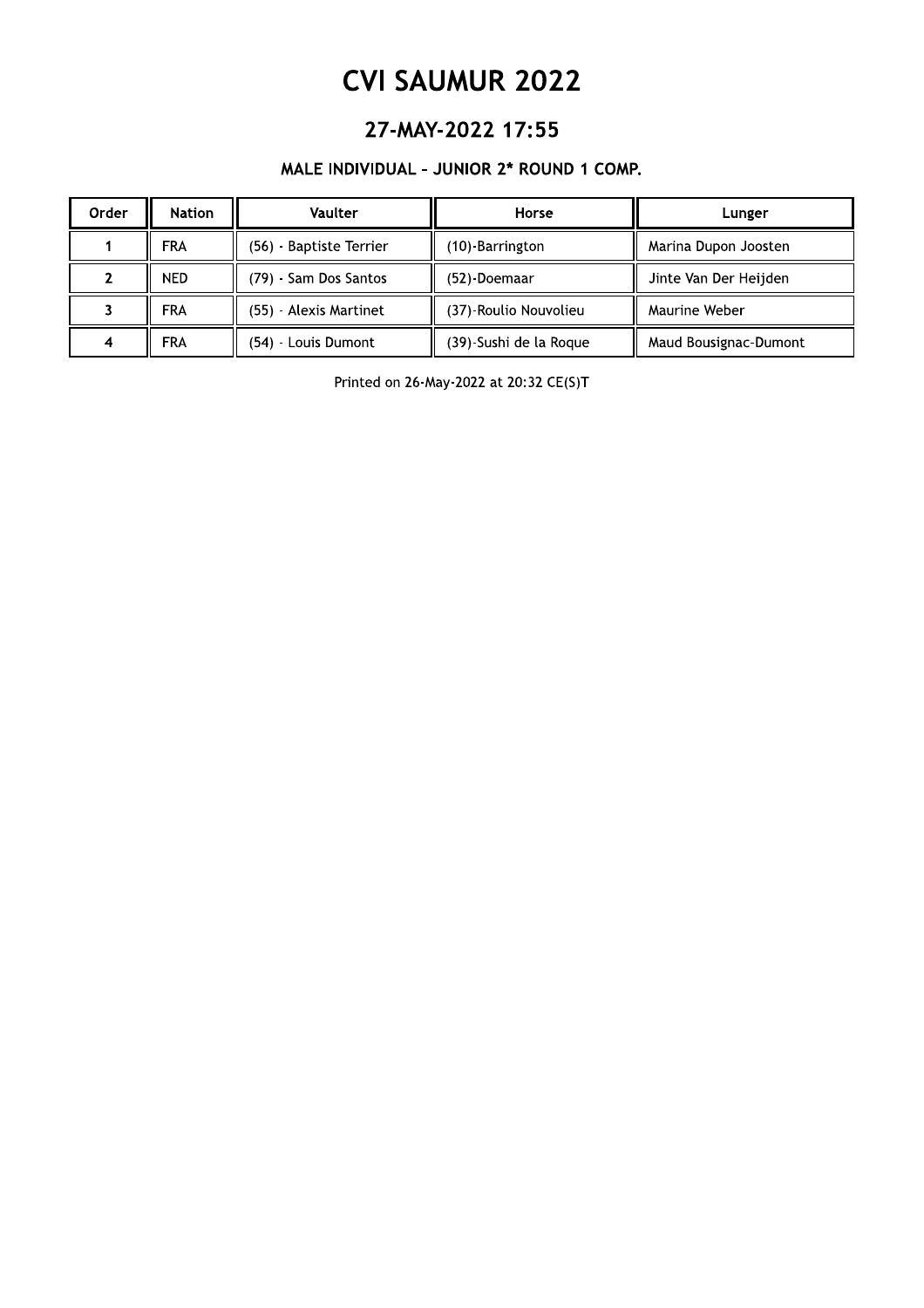## 27-MAY-2022 17:55

### MALE INDIVIDUAL - JUNIO

| <b>CVI SAUMUR 2022</b>                    |               |                         |                        |                       |  |
|-------------------------------------------|---------------|-------------------------|------------------------|-----------------------|--|
| 27-MAY-2022 17:55                         |               |                         |                        |                       |  |
| MALE INDIVIDUAL - JUNIOR 2* ROUND 1 COMP. |               |                         |                        |                       |  |
| Order                                     | <b>Nation</b> | Vaulter                 | Horse                  | Lunger                |  |
|                                           | <b>FRA</b>    | (56) - Baptiste Terrier | (10)-Barrington        | Marina Dupon Joosten  |  |
| $\mathcal{P}$                             | NED.          | (79) - Sam Dos Santos   | (52)-Doemaar           | Jinte Van Der Heijden |  |
|                                           | <b>FRA</b>    | (55) - Alexis Martinet  | (37)-Roulio Nouvolieu  | Maurine Weber         |  |
| 4                                         | <b>FRA</b>    | (54) - Louis Dumont     | (39)-Sushi de la Roque | Maud Bousignac-Dumont |  |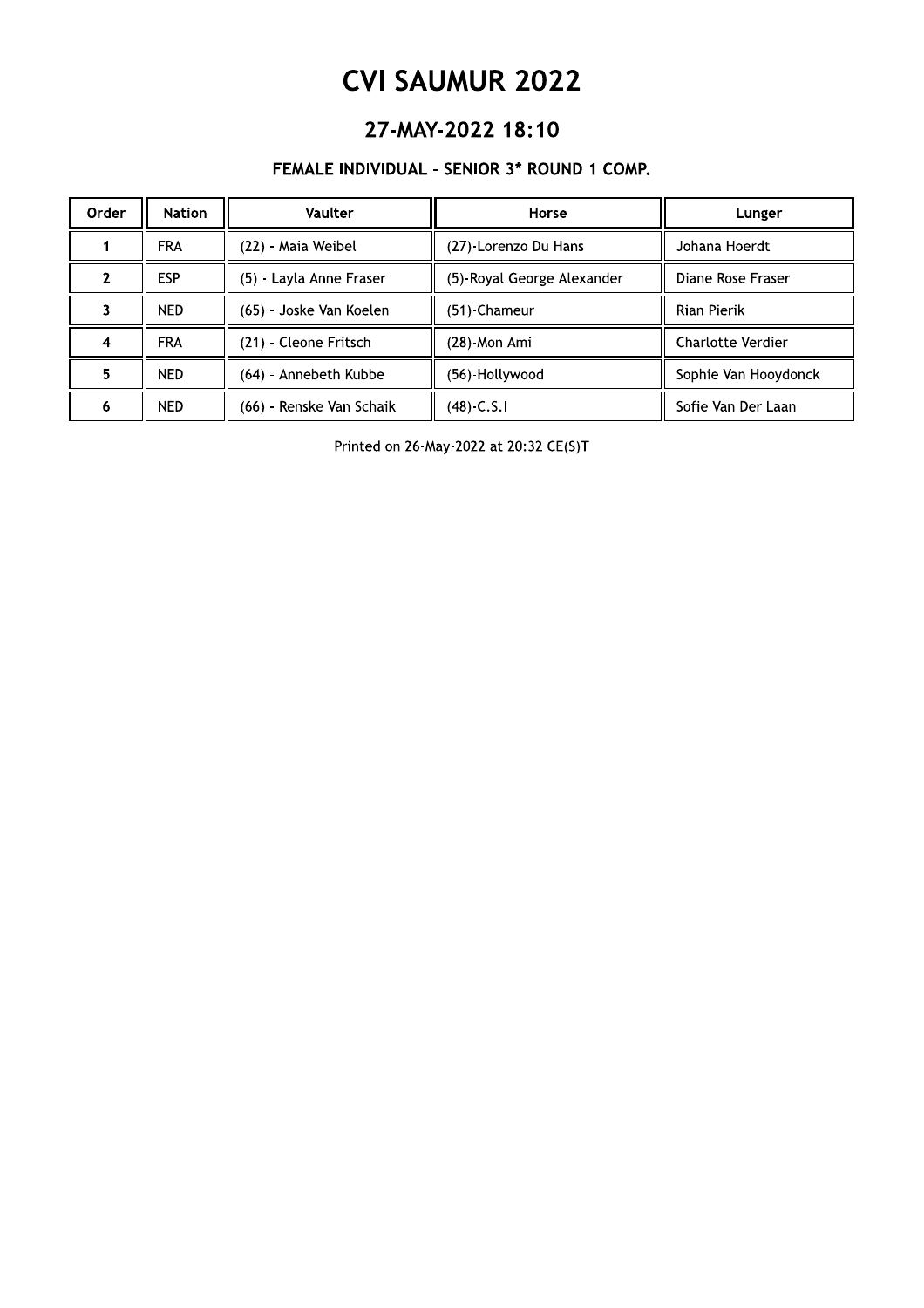## 27-MAY-2022 18:10

### FEMALE INDIVIDUAL - SENIOR 3\* ROUND 1 COMP.

| Order | Nation     | Vaulter                  | Horse                      | Lunger               |
|-------|------------|--------------------------|----------------------------|----------------------|
|       | <b>FRA</b> | (22) - Maia Weibel       | (27)-Lorenzo Du Hans       | Johana Hoerdt        |
|       | <b>ESP</b> | (5) Layla Anne Fraser    | (5)-Royal George Alexander | Diane Rose Fraser    |
|       | <b>NED</b> | (65) - Joske Van Koelen  | (51)-Chameur               | <b>Rian Pierik</b>   |
| 4     | <b>FRA</b> | (21) - Cleone Fritsch    | (28)-Mon Ami               | Charlotte Verdier    |
| 5     | <b>NED</b> | (64) - Annebeth Kubbe    | (56)-Hollywood             | Sophie Van Hooydonck |
| 6     | <b>NED</b> | (66) - Renske Van Schaik | $(48) - C.S.1$             | Sofie Van Der Laan   |